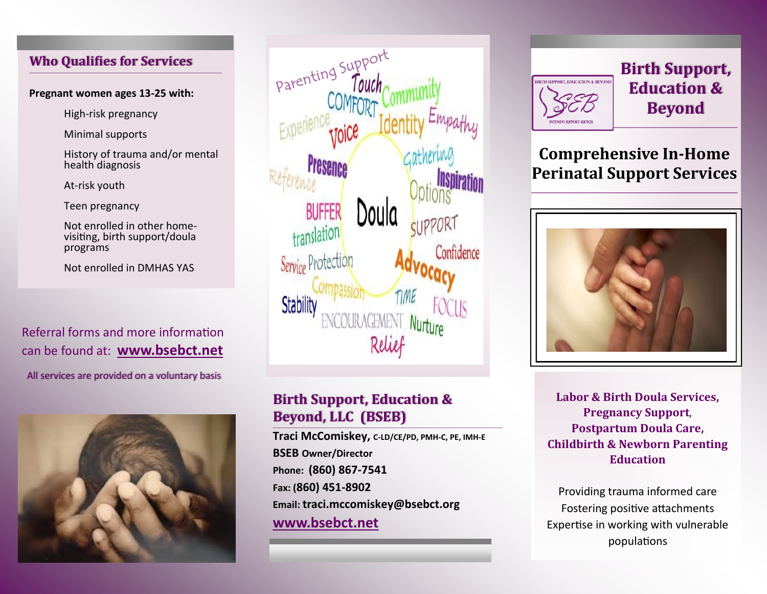## **Who Qualifies for Services**

#### **Pregnant women ages 13-25 with:**

High-risk pregnancy

Minimal supports

History of trauma and/or mental health diagnosis

At-risk youth

Teen pregnancy

Not enrolled in other homevisiting, birth support/doula programs

Not enrolled in DMHAS YAS

Referral forms and more information can be found at: **www.bsebct.net** 

All services are provided on a voluntary basis





## **Birth Support, Education & Beyond, LLC (BSEB)**

**Traci McComiskey, C-LD/CE/PD, PMH-C, PE, IMH-<sup>E</sup> BSEB Owner/Director Phone: (860) 867-7541 Fax: (860) 451-8902 Email: traci.mccomiskey@bsebct.org www.bsebct.net**



**Birth Support, Education & Beyond**

# **Comprehensive In-Home Perinatal Support Services**



**Labor & Birth Doula Services, Pregnancy Support**, **Postpartum Doula Care, Childbirth & Newborn Parenting Education** 

Providing trauma informed care Fostering positive attachments Expertise in working with vulnerable populations